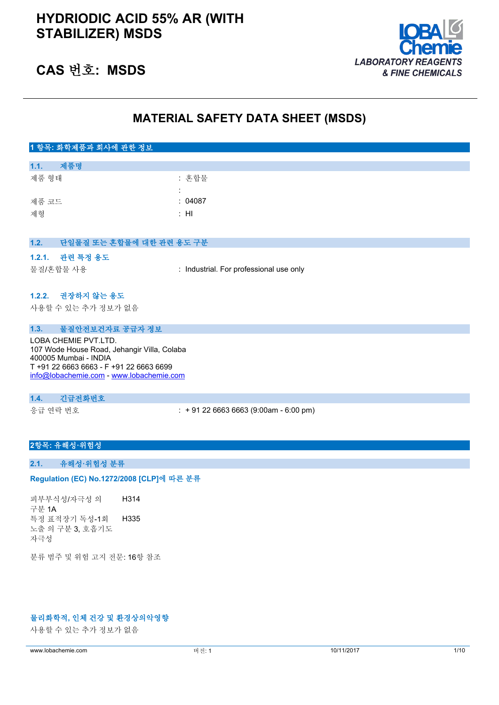

## **CAS 번호: MSDS**

## **MATERIAL SAFETY DATA SHEET (MSDS)**

| 1 항목: 화학제품과 회사에 관한 정보                                                |                                         |  |
|----------------------------------------------------------------------|-----------------------------------------|--|
| 제품명<br>1.1.                                                          |                                         |  |
| 제품 형태                                                                | : 혼합물                                   |  |
|                                                                      |                                         |  |
| 제품 코드                                                                | : 04087                                 |  |
| 제형                                                                   | : H1                                    |  |
|                                                                      |                                         |  |
| 1.2.<br>단일물질 또는 혼합물에 대한 관련 용도 구분                                     |                                         |  |
| 관련 특정 용도<br>1.2.1.                                                   |                                         |  |
| 물질/혼합물 사용                                                            | : Industrial. For professional use only |  |
|                                                                      |                                         |  |
| 1.2.2. 권장하지 않는 용도                                                    |                                         |  |
| 사용할 수 있는 추가 정보가 없음                                                   |                                         |  |
|                                                                      |                                         |  |
| 1.3.<br>물질안전보건자료 공급자 정보                                              |                                         |  |
| LOBA CHEMIE PVT.LTD.                                                 |                                         |  |
| 107 Wode House Road, Jehangir Villa, Colaba<br>400005 Mumbai - INDIA |                                         |  |
| T +91 22 6663 6663 - F +91 22 6663 6699                              |                                         |  |
| info@lobachemie.com - www.lobachemie.com                             |                                         |  |
|                                                                      |                                         |  |
| 긴급전화번호<br>1.4.                                                       |                                         |  |
| 응급 연락 번호                                                             | $: +912266636663(9:00am - 6:00 pm)$     |  |

### **2항목: 유해성·위험성**

## **2.1. 유해성·위험성 분류**

#### Regulation (EC) No.1272/2008 [CLP]에 따른 분류

피부부식성/자극성 의 구분 1A H314 특정 표적장기 독성-1회 노출 의 구분 3, 호흡기도 자극성 H335

분류 범주 및 위험 고지 전문: 16항 참조

## **물리화학적, 인체 건강 및 환경상의악영향**

사용할 수 있는 추가 정보가 없음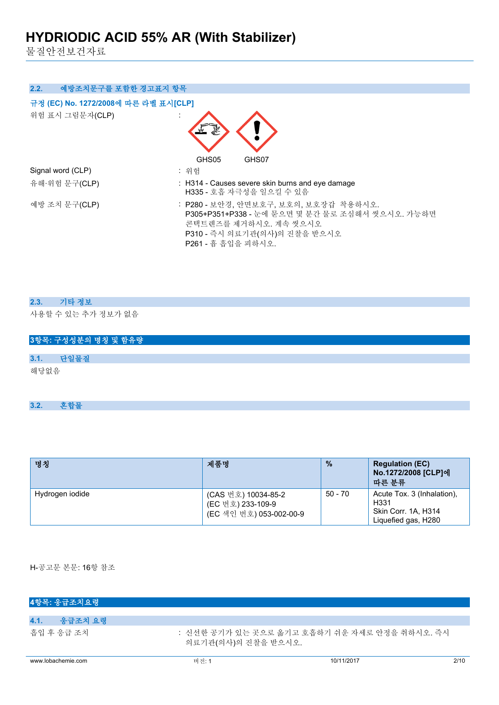물질안전보건자료

| 예방조치문구를 포함한 경고표지 항목<br>2.2.          |                                                                                                                                                                         |
|--------------------------------------|-------------------------------------------------------------------------------------------------------------------------------------------------------------------------|
| 규정 (EC) No. 1272/2008에 따른 라벨 표시[CLP] |                                                                                                                                                                         |
| 위험 표시 그림문자(CLP)                      |                                                                                                                                                                         |
|                                      | GHS05<br>GHS07                                                                                                                                                          |
| Signal word (CLP)                    | : 위험                                                                                                                                                                    |
| 유해·위험 문구(CLP)                        | : H314 - Causes severe skin burns and eye damage<br>H335 - 호흡 자극성을 일으킬 수 있음                                                                                             |
| 예방 조치 문구(CLP)                        | : P280 - 보안경, 안면보호구, 보호의, 보호장갑 착용하시오.<br>P305+P351+P338 - 눈에 묻으면 몇 분간 물로 조심해서 씻으시오. 가능하면<br>콘택트렌즈를 제거하시오. 계속 씻으시오<br>P310 - 즉시 의료기관(의사)의 진찰을 받으시오<br>P261 - 흄 흡입을 피하시오. |

| 2.3. 기타 정보         |
|--------------------|
| 사용할 수 있는 추가 정보가 없음 |

|      | 3항목: 구성성분의 명칭 및 함유량 |
|------|---------------------|
|      |                     |
| 3.1. | 단일물질                |
| 해당없음 |                     |

**3.2. 혼합물**

| 명칭              | 제품명                                                                 | $\frac{9}{6}$ | <b>Regulation (EC)</b><br>No.1272/2008 [CLP]에<br>따른 분류                                       |
|-----------------|---------------------------------------------------------------------|---------------|----------------------------------------------------------------------------------------------|
| Hydrogen iodide | (CAS 번호) 10034-85-2<br>(EC 번호) 233-109-9<br>(EC 색인 번호) 053-002-00-9 | 50 - 70       | Acute Tox. 3 (Inhalation),<br>H <sub>331</sub><br>Skin Corr. 1A, H314<br>Liquefied gas, H280 |

H-공고문 본문: 16항 참조

| 4항목: 응급조치요령        |                     |                                               |      |
|--------------------|---------------------|-----------------------------------------------|------|
|                    |                     |                                               |      |
| 4.1.<br>응급조치 요령    |                     |                                               |      |
| 흡입 후 응급 조치         | 의료기관(의사)의 진찰을 받으시오. | : 신선한 공기가 있는 곳으로 옮기고 호흡하기 쉬운 자세로 안정을 취하시오. 즉시 |      |
| www.lobachemie.com | 버전:1                | 10/11/2017                                    | 2/10 |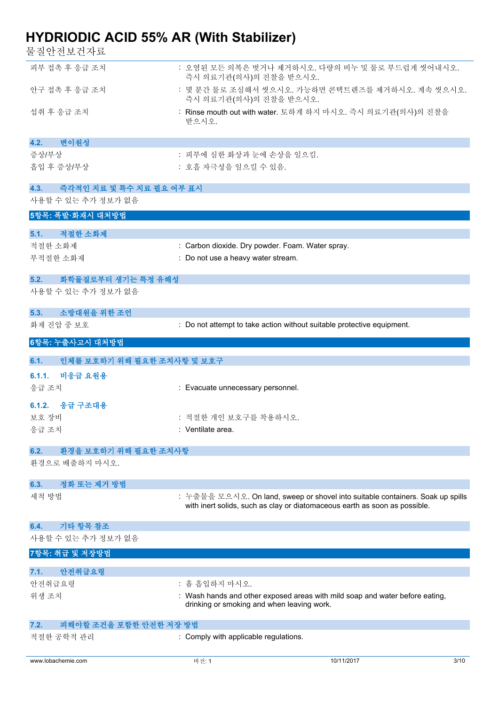물질안전보건자료

| ㄷ ㄷ ㄴ ㄴㅡ- ㄴ′ ㅣㅡ                              |                                                  |                                                                                |      |
|----------------------------------------------|--------------------------------------------------|--------------------------------------------------------------------------------|------|
| 피부 접촉 후 응급 조치                                | 즉시 의료기관(의사)의 진찰을 받으시오.                           | : 오염된 모든 의복은 벗거나 제거하시오. 다량의 비누 및 물로 부드럽게 씻어내시오.                                |      |
| 안구 접촉 후 응급 조치                                | 즉시 의료기관(의사)의 진찰을 받으시오.                           | : 몇 분간 물로 조심해서 씻으시오. 가능하면 콘택트렌즈를 제거하시오. 계속 씻으시오.                               |      |
| 섭취 후 응급 조치                                   | 받으시오.                                            | : Rinse mouth out with water. 토하게 하지 마시오. 즉시 의료기관(의사)의 진찰을                     |      |
| 변이원성<br>4.2.                                 |                                                  |                                                                                |      |
| 증상/부상                                        | : 피부에 심한 화상과 눈에 손상을 일으킴.                         |                                                                                |      |
| 흡입 후 증상/부상                                   | : 호흡 자극성을 일으킬 수 있음.                              |                                                                                |      |
| 4.3.<br>즉각적인 치료 및 특수 치료 필요 여부 표시             |                                                  |                                                                                |      |
| 사용할 수 있는 추가 정보가 없음                           |                                                  |                                                                                |      |
| 5항목: 폭발·화재시 대처방법                             |                                                  |                                                                                |      |
| 5.1.<br>적절한 소화제                              |                                                  |                                                                                |      |
| 적절한 소화제                                      | : Carbon dioxide. Dry powder. Foam. Water spray. |                                                                                |      |
| 부적절한 소화재                                     | : Do not use a heavy water stream.               |                                                                                |      |
| 5.2.<br>화학물질로부터 생기는 특정 유해성                   |                                                  |                                                                                |      |
| 사용할 수 있는 추가 정보가 없음                           |                                                  |                                                                                |      |
| 소방대원을 위한 조언<br>5.3.                          |                                                  |                                                                                |      |
| 화재 진압 중 보호                                   |                                                  | : Do not attempt to take action without suitable protective equipment.         |      |
| 6항목: 누출사고시 대처방법                              |                                                  |                                                                                |      |
| 6.1.<br>인체를 보호하기 위해 필요한 조치사항 및 보호구           |                                                  |                                                                                |      |
| 6.1.1.<br>비응급 요원용                            |                                                  |                                                                                |      |
| 응급 조치                                        | : Evacuate unnecessary personnel.                |                                                                                |      |
| 6.1.2.<br>응급 구조대용                            |                                                  |                                                                                |      |
| 보호 장비                                        | : 적절한 개인 보호구를 착용하시오.                             |                                                                                |      |
| 응급 조치                                        | : Ventilate area.                                |                                                                                |      |
| 환경을 보호하기 위해 필요한 조치사항<br>6.2.                 |                                                  |                                                                                |      |
| 환경으로 배출하지 마시오.                               |                                                  |                                                                                |      |
| 정화 또는 제거 방법<br>6.3.                          |                                                  |                                                                                |      |
| 세척 방법                                        |                                                  | : 누출물을 모으시오. On land, sweep or shovel into suitable containers. Soak up spills |      |
|                                              |                                                  | with inert solids, such as clay or diatomaceous earth as soon as possible.     |      |
| 기타 항목 참조<br>6.4.                             |                                                  |                                                                                |      |
| 사용할 수 있는 추가 정보가 없음                           |                                                  |                                                                                |      |
| 7항목: 취급 및 저장방법                               |                                                  |                                                                                |      |
| 안전취급요령<br>7.1.                               |                                                  |                                                                                |      |
| 안전취급요령                                       | : 흄 흡입하지 마시오.                                    |                                                                                |      |
| 위생 조치                                        | drinking or smoking and when leaving work.       | : Wash hands and other exposed areas with mild soap and water before eating,   |      |
|                                              |                                                  |                                                                                |      |
| 피해야할 조건을 포함한 안전한 저장 방법<br>7.2.<br>적절한 공학적 관리 | : Comply with applicable regulations.            |                                                                                |      |
|                                              |                                                  |                                                                                |      |
| www.lobachemie.com                           | 버전: 1                                            | 10/11/2017                                                                     | 3/10 |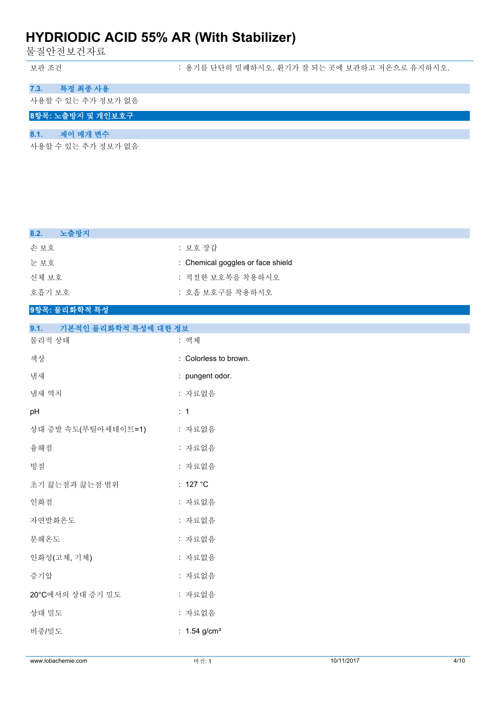물질안전보건자료

보관 조건 : 용기를 단단히 밀폐하시오. 환기가 잘 되는 곳에 보관하고 저온으로 유지하시오.

## **7.3. 특정 최종 사용**

사용할 수 있는 추가 정보가 없음

### **8항목: 노출방지 및 개인보호구**

## **8.1. 제어 매개 변수**

사용할 수 있는 추가 정보가 없음

| 노출방지<br>8.2.                 |                                   |
|------------------------------|-----------------------------------|
| 손보호                          | : 보호 장갑                           |
| 눈보호                          | : Chemical goggles or face shield |
| 신체 보호                        | : 적절한 보호복을 착용하시오                  |
| 호흡기 보호                       | : 호흡 보호구를 착용하시오                   |
| 9항목: 물리화학적 특성                |                                   |
| 기본적인 물리화학적 특성에 대한 정보<br>9.1. |                                   |
| 물리적 상태                       | : 액체                              |
| 색상                           | : Colorless to brown.             |
| 냄새                           | : pungent odor.                   |
| 냄새 역치                        | : 자료없음                            |
| pH                           | : 1                               |
| 상대 증발 속도(부틸아세테이트=1)          | : 자료없음                            |
| 융해점                          | : 자료없음                            |
| 빙점                           | : 자료없음                            |
| 초기 끓는점과 끓는점 범위               | : 127 $^{\circ}$ C                |
| 인화점                          | : 자료없음                            |
| 자연발화온도                       | : 자료없음                            |
| 분해온도                         | : 자료없음                            |
| 인화성(고체, 기체)                  | : 자료없음                            |
| 증기압                          | : 자료없음                            |
| 20°C에서의 상대 증기 밀도             | : 자료없음                            |
| 상대 밀도                        | : 자료없음                            |
| 비중/밀도                        | : $1.54$ g/cm <sup>3</sup>        |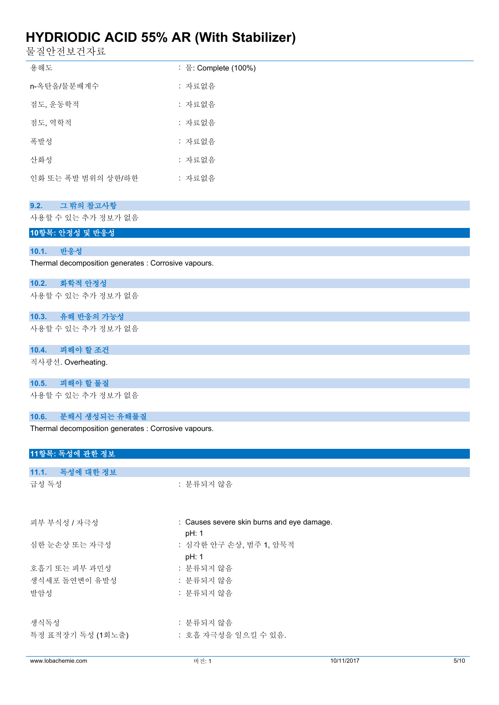물질안전보건자료

| 용해도                | : 물: Complete (100%) |
|--------------------|----------------------|
| n-옥탄올/물분배계수        | : 자료없음               |
| 점도, 운동학적           | : 자료없음               |
| 점도, 역학적            | : 자료없음               |
| 폭발성                | : 자료없음               |
| 산화성                | : 자료없음               |
| 인화 또는 폭발 범위의 상한/하한 | : 자료없음               |
|                    |                      |
| 그 밖의 참고사항<br>9.2.  |                      |
|                    |                      |

사용할 수 있는 추가 정보가 없음

**10항목: 안정성 및 반응성**

#### **10.1. 반응성**

Thermal decomposition generates : Corrosive vapours.

#### **10.2. 화학적 안정성**

사용할 수 있는 추가 정보가 없음

**10.3. 유해 반응의 가능성** 사용할 수 있는 추가 정보가 없음

#### **10.4. 피해야 할 조건**

직사광선. Overheating.

**10.5. 피해야 할 물질**

사용할 수 있는 추가 정보가 없음

### **10.6. 분해시 생성되는 유해물질**

Thermal decomposition generates : Corrosive vapours.

## **11항목: 독성에 관한 정보**

| www.lobachemie.com | 버전: 1                                      | 10/11/2017 | 5/10 |
|--------------------|--------------------------------------------|------------|------|
|                    |                                            |            |      |
| 특정 표적장기 독성 (1회노출)  | : 호흡 자극성을 일으킬 수 있음.                        |            |      |
| 생식독성               | : 분류되지 않음                                  |            |      |
|                    |                                            |            |      |
| 발암성                | : 분류되지 않음                                  |            |      |
| 생식세포 돌연변이 유발성      | : 분류되지 않음                                  |            |      |
| 호흡기 또는 피부 과민성      | : 분류되지 않음                                  |            |      |
|                    | pH: 1                                      |            |      |
| 심한 눈손상 또는 자극성      | : 심각한 안구 손상, 범주 1, 암묵적                     |            |      |
|                    | pH: 1                                      |            |      |
| 피부 부식성 / 자극성       | : Causes severe skin burns and eye damage. |            |      |
|                    |                                            |            |      |
| 급성 독성              | : 분류되지 않음                                  |            |      |
|                    |                                            |            |      |
| 11.1. 독성에 대한 정보    |                                            |            |      |
|                    |                                            |            |      |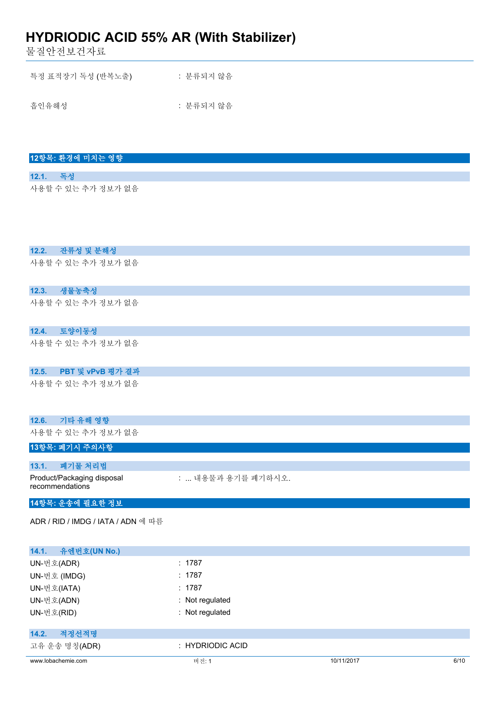물질안전보건자료

| 특정 표적장기 독성 (반복노출) | : 분류되지 않음 |  |
|-------------------|-----------|--|
| 흡인유해성             | : 분류되지 않음 |  |

### **12항목: 환경에 미치는 영향**

### **12.1. 독성** 사용할 수 있는 추가 정보가 없음

**12.2. 잔류성 및 분해성**

사용할 수 있는 추가 정보가 없음

## **12.3. 생물농축성**

사용할 수 있는 추가 정보가 없음

### **12.4. 토양이동성**

사용할 수 있는 추가 정보가 없음

## **12.5. PBT 및 vPvB 평가 결과**

사용할 수 있는 추가 정보가 없음

#### **12.6. 기타 유해 영향**

사용할 수 있는 추가 정보가 없음

## **13항목: 폐기시 주의사항**

| 13.1. | - 폐기물 처리법                                     |                    |
|-------|-----------------------------------------------|--------------------|
|       | Product/Packaging disposal<br>recommendations | :  내용물과 용기를 폐기하시오. |

## **14항목: 운송에 필요한 정보**

ADR / RID / IMDG / IATA / ADN 에 따름

| 유엔번호(UN No.)<br>14.1. |                      |            |      |
|-----------------------|----------------------|------------|------|
| UN-번호(ADR)            | : 1787               |            |      |
| UN-번호 (IMDG)          | : 1787               |            |      |
| UN-번호(IATA)           | : 1787               |            |      |
| UN-번호(ADN)            | : Not regulated      |            |      |
| UN-번호(RID)            | : Not regulated      |            |      |
| 적정선적명<br>14.2.        |                      |            |      |
| 고유 운송 명칭(ADR)         | $\pm$ HYDRIODIC ACID |            |      |
| www.lobachemie.com    | 버전: 1                | 10/11/2017 | 6/10 |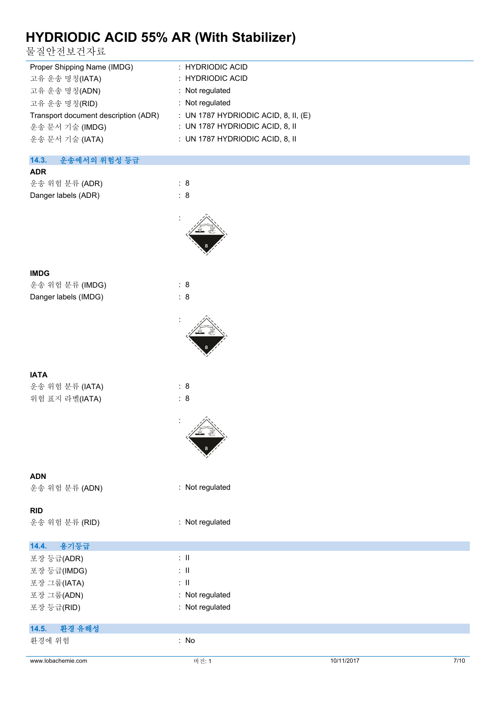물질안전보건자료

| Proper Shipping Name (IMDG)          | : HYDRIODIC ACID                       |
|--------------------------------------|----------------------------------------|
| 고유 운송 명칭(IATA)                       | : HYDRIODIC ACID                       |
| 고유 운송 명칭(ADN)                        | : Not regulated                        |
| 고유 운송 명칭(RID)                        | : Not regulated                        |
| Transport document description (ADR) | : UN 1787 HYDRIODIC ACID, 8, II, $(E)$ |
| 운송 문서 기술 (IMDG)                      | : UN 1787 HYDRIODIC ACID, 8, II        |
| 운송 문서 기술 (IATA)                      | : UN 1787 HYDRIODIC ACID, 8, II        |
|                                      |                                        |

### **14.3. 운송에서의 위험성 등급**

| <b>ADR</b>          |     |
|---------------------|-----|
| 운송 위험 분류 (ADR)      | : 8 |
| Danger labels (ADR) | : 8 |
|                     |     |



:

:

### **IMDG**

운송 위험 분류 (IMDG) : 8 Danger labels (IMDG) : 8

| IATA |  |
|------|--|

운송 위험 분류 (IATA) : 8 위험 표지 라벨(IATA) : 8

### **ADN**

운송 위험 분류 (ADN) : Not regulated

#### **RID**

운송 위험 분류 (RID) : Not regulated

|  | Not regulated |
|--|---------------|
|  |               |

| 용기등급<br>14.4.   |                 |
|-----------------|-----------------|
| 포장 등급(ADR)      | ÷Ш              |
| 포장 등급(IMDG)     | $\therefore$ 11 |
| 포장 그룹(IATA)     | ÷Ш              |
| 포장 그룹(ADN)      | : Not regulated |
| 포장 등급(RID)      | : Not regulated |
|                 |                 |
| 환경 유해성<br>14.5. |                 |
| 환경에 위험          | : No            |
|                 |                 |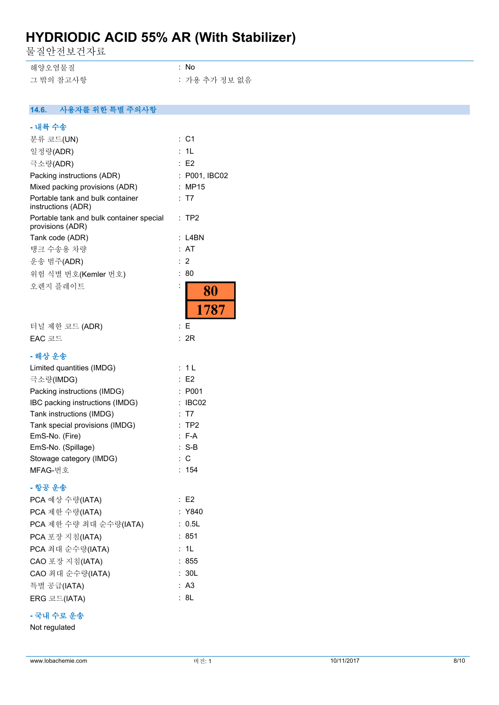물질안전보건자료

| 해양오염물질    | : No          |
|-----------|---------------|
| 그 밖의 참고사항 | : 가용 추가 정보 없음 |

#### $14.6.$ **14.6. 사용자를 위한 특별 주의사항**

| - 내륙 수송                                                      |                             |
|--------------------------------------------------------------|-----------------------------|
| 분류 코드(UN)                                                    | :C1                         |
| 일정량(ADR)                                                     | 1L<br>t.                    |
| 극소량(ADR)                                                     | : E2                        |
| Packing instructions (ADR)                                   | P001, IBC02                 |
| Mixed packing provisions (ADR)                               | MP15                        |
| Portable tank and bulk container<br>instructions (ADR)       | - T7                        |
| Portable tank and bulk container special<br>provisions (ADR) | TP2<br>÷                    |
| Tank code (ADR)                                              | L4BN                        |
| 탱크 수송용 차량                                                    | AT<br>÷.                    |
| 운송 범주(ADR)                                                   | 2<br>÷                      |
| 위험 식별 번호(Kemler 번호)                                          | 80                          |
| 오렌지 플레이트                                                     | :<br>80                     |
|                                                              | 1787                        |
| 터널 제한 코드 (ADR)                                               | Е<br>:                      |
| EAC 코드                                                       | 2R<br>t.                    |
| - 해상 운송                                                      |                             |
| Limited quantities (IMDG)                                    | : 1 L                       |
| 극소량(IMDG)                                                    | E <sub>2</sub>              |
| Packing instructions (IMDG)                                  | P001                        |
| IBC packing instructions (IMDG)                              | IBC02                       |
| Tank instructions (IMDG)                                     | T7                          |
| Tank special provisions (IMDG)                               | TP2<br>$\ddot{\phantom{a}}$ |
| EmS-No. (Fire)                                               | : F-A                       |
| EmS-No. (Spillage)                                           | $: S-B$                     |
| Stowage category (IMDG)                                      | C                           |
| MFAG-번호                                                      | 154                         |
| - 항공 운송                                                      |                             |
| PCA 예상 수량(IATA)                                              | E2                          |
| PCA 제한 수량(IATA)                                              | : Y840                      |
| PCA 제한 수량 최대 순수량(IATA)                                       | : 0.5L                      |
| PCA 포장 지침(IATA)                                              | : 851                       |
| PCA 최대 순수량(IATA)                                             | : 1L                        |
| CAO 포장 지침(IATA)                                              | : 855                       |
| CAO 최대 순수량(IATA)                                             | : 30L                       |
| 특별 공급(IATA)                                                  | : A3                        |
| ERG 코드(IATA)                                                 | 8L                          |

## **- 국내 수로 운송**

Not regulated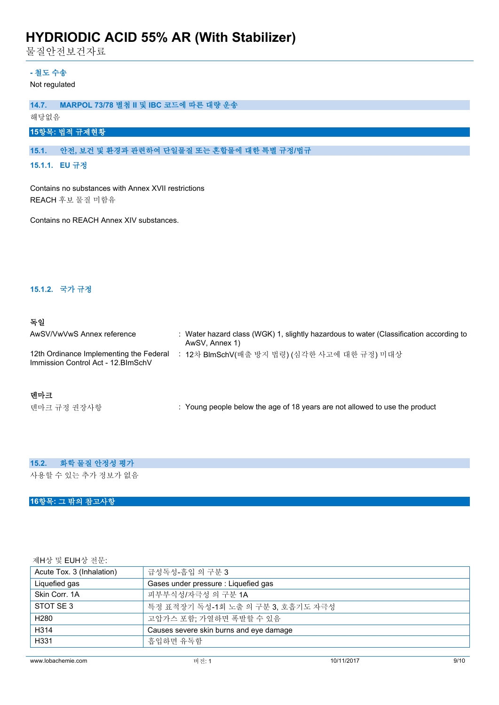물질안전보건자료

## **- 철도 수송**

Not regulated

## **14.7. MARPOL 73/78 별첨 II 및 IBC 코드에 따른 대량 운송**

해당없음

## **15항목: 법적 규제현황**

### **15.1. 안전, 보건 및 환경과 관련하여 단일물질 또는 혼합물에 대한 특별 규정/법규**

**15.1.1. EU 규정**

Contains no substances with Annex XVII restrictions REACH 후보 물질 미함유

Contains no REACH Annex XIV substances.

#### **15.1.2. 국가 규정**

### **독일**

| Water hazard class (WGK) 1, slightly hazardous to water (Classification according to<br>AwSV, Annex 1) |
|--------------------------------------------------------------------------------------------------------|
| 12차 BlmSchV(배출 방지 법령) (심각한 사고에 대한 규정) 미대상                                                              |
|                                                                                                        |

### **덴마크**

텐마크 규정 권장사항 : Young people below the age of 18 years are not allowed to use the product

## **15.2. 화학 물질 안정성 평가**

사용할 수 있는 추가 정보가 없음

## **16항목: 그 밖의 참고사항**

제H상 및 EUH상 전문:

| 급성독성-흡입 의 구분 3                          |  |
|-----------------------------------------|--|
| Gases under pressure : Liquefied gas    |  |
| 피부부식성/자극성 의 구분 1A                       |  |
| 특정 표적장기 독성-1회 노출 의 구분 3. 호흡기도 자극성       |  |
| 고압가스 포함: 가열하면 폭발할 수 있음                  |  |
| Causes severe skin burns and eye damage |  |
| 흠입하면 유독함                                |  |
|                                         |  |